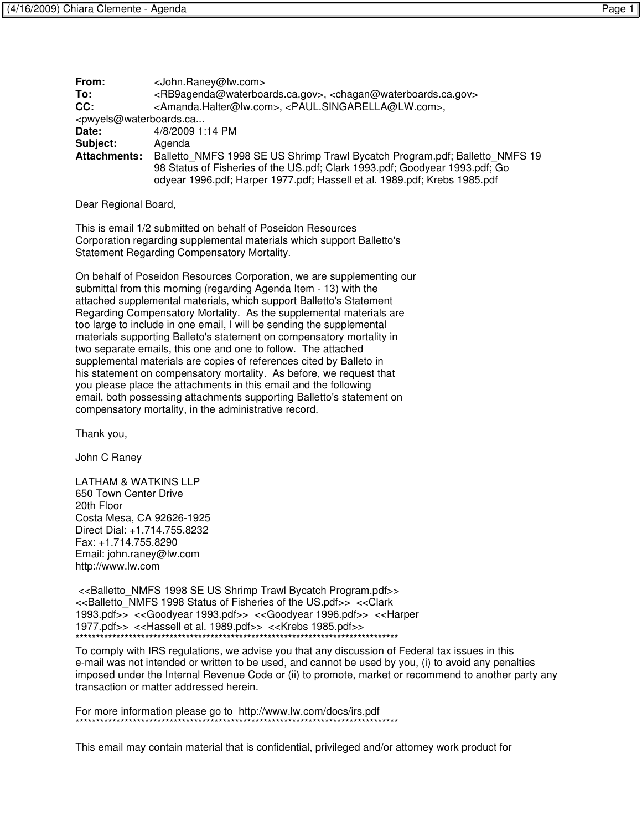|--|

| From:                                                   | <john.raney@lw.com></john.raney@lw.com>                                                                                                                                                                                                 |
|---------------------------------------------------------|-----------------------------------------------------------------------------------------------------------------------------------------------------------------------------------------------------------------------------------------|
| To:                                                     | <rb9agenda@waterboards.ca.gov>, <chagan@waterboards.ca.gov></chagan@waterboards.ca.gov></rb9agenda@waterboards.ca.gov>                                                                                                                  |
| CC:                                                     | <amanda.halter@lw.com>, <paul.singarella@lw.com>,</paul.singarella@lw.com></amanda.halter@lw.com>                                                                                                                                       |
| <pwyels@waterboards.ca< th=""></pwyels@waterboards.ca<> |                                                                                                                                                                                                                                         |
| Date:                                                   | 4/8/2009 1:14 PM                                                                                                                                                                                                                        |
| Subject:                                                | Agenda                                                                                                                                                                                                                                  |
| <b>Attachments:</b>                                     | Balletto NMFS 1998 SE US Shrimp Trawl Bycatch Program.pdf; Balletto NMFS 19<br>98 Status of Fisheries of the US.pdf; Clark 1993.pdf; Goodyear 1993.pdf; Go<br>odyear 1996.pdf; Harper 1977.pdf; Hassell et al. 1989.pdf; Krebs 1985.pdf |
|                                                         |                                                                                                                                                                                                                                         |

Dear Regional Board,

This is email 1/2 submitted on behalf of Poseidon Resources Corporation regarding supplemental materials which support Balletto's Statement Regarding Compensatory Mortality.

On behalf of Poseidon Resources Corporation, we are supplementing our submittal from this morning (regarding Agenda Item - 13) with the attached supplemental materials, which support Balletto's Statement Regarding Compensatory Mortality. As the supplemental materials are too large to include in one email, I will be sending the supplemental materials supporting Balleto's statement on compensatory mortality in two separate emails, this one and one to follow. The attached supplemental materials are copies of references cited by Balleto in his statement on compensatory mortality. As before, we request that you please place the attachments in this email and the following email, both possessing attachments supporting Balletto's statement on compensatory mortality, in the administrative record.

Thank you,

John C Raney

LATHAM & WATKINS LLP 650 Town Center Drive 20th Floor Costa Mesa, CA 92626-1925 Direct Dial: +1.714.755.8232 Fax: +1.714.755.8290 Email: john.raney@lw.com http://www.lw.com

 <<Balletto\_NMFS 1998 SE US Shrimp Trawl Bycatch Program.pdf>> <<Balletto\_NMFS 1998 Status of Fisheries of the US.pdf>> <<Clark 1993.pdf>> <<Goodyear 1993.pdf>> <<Goodyear 1996.pdf>> <<Harper 1977.pdf>> <<Hassell et al. 1989.pdf>> <<Krebs 1985.pdf>> \*\*\*\*\*\*\*\*\*\*\*\*\*\*\*\*\*\*\*\*\*\*\*\*\*\*\*\*\*\*\*\*\*\*\*\*\*\*\*\*\*\*\*\*\*\*\*\*\*\*\*\*\*\*\*\*\*\*\*\*\*\*\*\*\*\*\*\*\*\*\*\*\*\*\*\*\*\*\*

To comply with IRS regulations, we advise you that any discussion of Federal tax issues in this e-mail was not intended or written to be used, and cannot be used by you, (i) to avoid any penalties imposed under the Internal Revenue Code or (ii) to promote, market or recommend to another party any transaction or matter addressed herein.

For more information please go to http://www.lw.com/docs/irs.pdf \*\*\*\*\*\*\*\*\*\*\*\*\*\*\*\*\*\*\*\*\*\*\*\*\*\*\*\*\*\*\*\*\*\*\*\*\*\*\*\*\*\*\*\*\*\*\*\*\*\*\*\*\*\*\*\*\*\*\*\*\*\*\*\*\*\*\*\*\*\*\*\*\*\*\*\*\*\*\*

This email may contain material that is confidential, privileged and/or attorney work product for